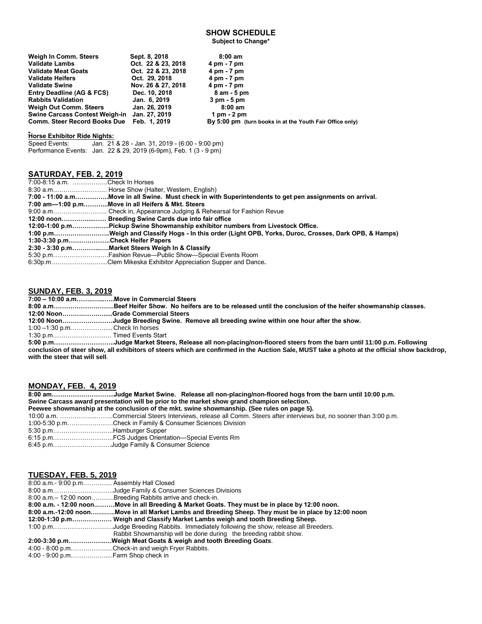# **SHOW SCHEDULE**

**Subject to Change\***

| Weigh In Comm. Steers                        | Sept. 8, 2018      | $8:00 \text{ am}$                                        |
|----------------------------------------------|--------------------|----------------------------------------------------------|
| <b>Validate Lambs</b>                        | Oct. 22 & 23, 2018 | 4 pm - 7 pm                                              |
| <b>Validate Meat Goats</b>                   | Oct. 22 & 23, 2018 | 4 pm - 7 pm                                              |
| <b>Validate Heifers</b>                      | Oct. 29, 2018      | 4 pm - 7 pm                                              |
| <b>Validate Swine</b>                        | Nov. 26 & 27, 2018 | 4 pm - 7 pm                                              |
| <b>Entry Deadline (AG &amp; FCS)</b>         | Dec. 10, 2018      | 8 am - 5 pm                                              |
| <b>Rabbits Validation</b>                    | Jan. 6, 2019       | $3 \text{ pm} - 5 \text{ pm}$                            |
| <b>Weigh Out Comm. Steers</b>                | Jan. 26, 2019      | $8:00 \text{ am}$                                        |
| Swine Carcass Contest Weigh-in Jan. 27, 2019 |                    | 1 pm $-2$ pm                                             |
| <b>Comm. Steer Record Books Due</b>          | Feb. 1.2019        | By 5:00 pm (turn books in at the Youth Fair Office only) |

# **Horse Exhibitor Ride Nights:**<br>Speed Events: Jan. 21

Jan. 21 & 28 - Jan. 31, 2019 - (6:00 - 9:00 pm) Performance Events: Jan. 22 & 29, 2019 (6-9pm), Feb. 1 (3 - 9 pm)

# **SATURDAY, FEB. 2, 2019**

| 7:00-8:15 a.m. Check In Horses   |                                                                                                          |
|----------------------------------|----------------------------------------------------------------------------------------------------------|
|                                  | 8:30 a.m Horse Show (Halter, Western, English)                                                           |
|                                  | 7:00 - 11:00 a.mMove in all Swine. Must check in with Superintendents to get pen assignments on arrival. |
|                                  | 7:00 am-1:00 p.mMove in all Heifers & Mkt. Steers                                                        |
|                                  |                                                                                                          |
|                                  | 12:00 noon Breeding Swine Cards due into fair office                                                     |
|                                  | 12:00-1:00 p.mPickup Swine Showmanship exhibitor numbers from Livestock Office.                          |
|                                  | 1:00 p.mWeigh and Classify Hogs - In this order (Light OPB, Yorks, Duroc, Crosses, Dark OPB, & Hamps)    |
| 1:30-3:30 p.mCheck Heifer Papers |                                                                                                          |
|                                  | 2:30 - 3:30 p.mMarket Steers Weigh In & Classify                                                         |
|                                  | 5:30 p.mFashion Revue—Public Show—Special Events Room                                                    |
|                                  | 6:30p.mClem Mikeska Exhibitor Appreciation Supper and Dance.                                             |

#### **SUNDAY, FEB. 3, 2019**

**7:00 – 10:00 a.m……..…...…..Move in Commercial Steers**

**8:00 a.m………………………..Beef Heifer Show. No heifers are to be released until the conclusion of the heifer showmanship classes.** 

**12:00 Noon……….…….….....Grade Commercial Steers**

**12:00 Noon……………………Judge Breeding Swine. Remove all breeding swine within one hour after the show.** 

1:00 –1:30 p.m.……………..... Check In horses

1:30 p.m………………………. Timed Events Start

**5:00 p.m………………………..Judge Market Steers, Release all non-placing/non-floored steers from the barn until 11:00 p.m. Following conclusion of steer show, all exhibitors of steers which are confirmed in the Auction Sale, MUST take a photo at the official show backdrop, with the steer that will sell**.

#### **MONDAY, FEB. 4, 2019**

|                                                                                             | 8:00 amJudge Market Swine. Release all non-placing/non-floored hogs from the barn until 10:00 p.m.               |  |  |  |
|---------------------------------------------------------------------------------------------|------------------------------------------------------------------------------------------------------------------|--|--|--|
| Swine Carcass award presentation will be prior to the market show grand champion selection. |                                                                                                                  |  |  |  |
| Peewee showmanship at the conclusion of the mkt. swine showmanship. (See rules on page 5).  |                                                                                                                  |  |  |  |
|                                                                                             | 10:00 a.m. Commercial Steers Interviews, release all Comm. Steers after interviews but, no sooner than 3:00 p.m. |  |  |  |
|                                                                                             | 1:00-5:30 p.mCheck in Family & Consumer Sciences Division                                                        |  |  |  |
|                                                                                             | 5:30 p.mHamburger Supper                                                                                         |  |  |  |
|                                                                                             | 6:15 p.mFCS Judges Orientation—Special Events Rm                                                                 |  |  |  |
|                                                                                             | 6:45 p.mJudge Family & Consumer Science                                                                          |  |  |  |

# **TUESDAY, FEB. 5, 2019**

| 8:00 a.m. - 9:00 p.m Assembly Hall Closed |                                                                                                      |
|-------------------------------------------|------------------------------------------------------------------------------------------------------|
|                                           | 8:00 a.mJudge Family & Consumer Sciences Divisions                                                   |
|                                           | 8:00 a.m. – 12:00 noonBreeding Rabbits arrive and check-in.                                          |
|                                           | 8:00 a.m. - 12:00 noonMove in all Breeding & Market Goats. They must be in place by 12:00 noon.      |
|                                           | 8:00 a.m.-12:00 noonMove in all Market Lambs and Breeding Sheep. They must be in place by 12:00 noon |
|                                           | 12:00-1:30 p.m Weigh and Classify Market Lambs weigh and tooth Breeding Sheep.                       |
|                                           | 1:00 p.mJudge Breeding Rabbits. Immediately following the show, release all Breeders.                |
|                                           | Rabbit Showmanship will be done during the breeding rabbit show.                                     |
|                                           | 2:00-3:30 p.mWeigh Meat Goats & weigh and tooth Breeding Goats.                                      |
|                                           | 4:00 - 8:00 p.mCheck-in and weigh Fryer Rabbits.                                                     |
|                                           |                                                                                                      |